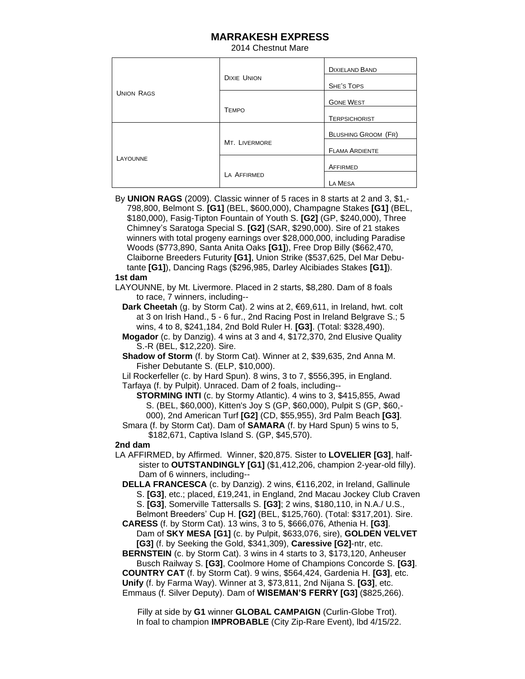## **MARRAKESH EXPRESS**

2014 Chestnut Mare

| <b>UNION RAGS</b> | <b>DIXIE UNION</b> | <b>DIXIELAND BAND</b>      |
|-------------------|--------------------|----------------------------|
|                   |                    | <b>SHE'S TOPS</b>          |
|                   |                    | <b>GONE WEST</b>           |
|                   | <b>TEMPO</b>       | <b>TERPSICHORIST</b>       |
| LAYOUNNE          | MT. LIVERMORE      | <b>BLUSHING GROOM (FR)</b> |
|                   |                    | <b>FLAMA ARDIENTE</b>      |
|                   |                    | AFFIRMED                   |
|                   | LA AFFIRMED        | LA MESA                    |

By **UNION RAGS** (2009). Classic winner of 5 races in 8 starts at 2 and 3, \$1,- 798,800, Belmont S. **[G1]** (BEL, \$600,000), Champagne Stakes **[G1]** (BEL, \$180,000), Fasig-Tipton Fountain of Youth S. **[G2]** (GP, \$240,000), Three Chimney's Saratoga Special S. **[G2]** (SAR, \$290,000). Sire of 21 stakes winners with total progeny earnings over \$28,000,000, including Paradise Woods (\$773,890, Santa Anita Oaks **[G1]**), Free Drop Billy (\$662,470, Claiborne Breeders Futurity **[G1]**, Union Strike (\$537,625, Del Mar Debu tante **[G1]**), Dancing Rags (\$296,985, Darley Alcibiades Stakes **[G1]**).

## **1st dam**

 LAYOUNNE, by Mt. Livermore. Placed in 2 starts, \$8,280. Dam of 8 foals to race, 7 winners, including--

 **Dark Cheetah** (g. by Storm Cat). 2 wins at 2, €69,611, in Ireland, hwt. colt at 3 on Irish Hand., 5 - 6 fur., 2nd Racing Post in Ireland Belgrave S.; 5 wins, 4 to 8, \$241,184, 2nd Bold Ruler H. **[G3]**. (Total: \$328,490).

 **Mogador** (c. by Danzig). 4 wins at 3 and 4, \$172,370, 2nd Elusive Quality S.-R (BEL, \$12,220). Sire.

 **Shadow of Storm** (f. by Storm Cat). Winner at 2, \$39,635, 2nd Anna M. Fisher Debutante S. (ELP, \$10,000).

 Lil Rockerfeller (c. by Hard Spun). 8 wins, 3 to 7, \$556,395, in England. Tarfaya (f. by Pulpit). Unraced. Dam of 2 foals, including--

**STORMING INTI** (c. by Stormy Atlantic). 4 wins to 3, \$415,855, Awad S. (BEL, \$60,000), Kitten's Joy S (GP, \$60,000), Pulpit S (GP, \$60,- 000), 2nd American Turf **[G2]** (CD, \$55,955), 3rd Palm Beach **[G3]**.

 Smara (f. by Storm Cat). Dam of **SAMARA** (f. by Hard Spun) 5 wins to 5, \$182,671, Captiva Island S. (GP, \$45,570).

## **2nd dam**

 LA AFFIRMED, by Affirmed. Winner, \$20,875. Sister to **LOVELIER [G3]**, half sister to **OUTSTANDINGLY [G1]** (\$1,412,206, champion 2-year-old filly). Dam of 6 winners, including--

 **DELLA FRANCESCA** (c. by Danzig). 2 wins, €116,202, in Ireland, Gallinule S. **[G3]**, etc.; placed, £19,241, in England, 2nd Macau Jockey Club Craven S. **[G3]**, Somerville Tattersalls S. **[G3]**; 2 wins, \$180,110, in N.A./ U.S.,

 Belmont Breeders' Cup H. **[G2]** (BEL, \$125,760). (Total: \$317,201). Sire. **CARESS** (f. by Storm Cat). 13 wins, 3 to 5, \$666,076, Athenia H. **[G3]**.

 Dam of **SKY MESA [G1]** (c. by Pulpit, \$633,076, sire), **GOLDEN VELVET [G3]** (f. by Seeking the Gold, \$341,309), **Caressive [G2]**-ntr, etc.

 **BERNSTEIN** (c. by Storm Cat). 3 wins in 4 starts to 3, \$173,120, Anheuser Busch Railway S. **[G3]**, Coolmore Home of Champions Concorde S. **[G3]**. **COUNTRY CAT** (f. by Storm Cat). 9 wins, \$564,424, Gardenia H. **[G3]**, etc. **Unify** (f. by Farma Way). Winner at 3, \$73,811, 2nd Nijana S. **[G3]**, etc.

Emmaus (f. Silver Deputy). Dam of **WISEMAN'S FERRY [G3]** (\$825,266).

 Filly at side by **G1** winner **GLOBAL CAMPAIGN** (Curlin-Globe Trot). In foal to champion **IMPROBABLE** (City Zip-Rare Event), lbd 4/15/22.